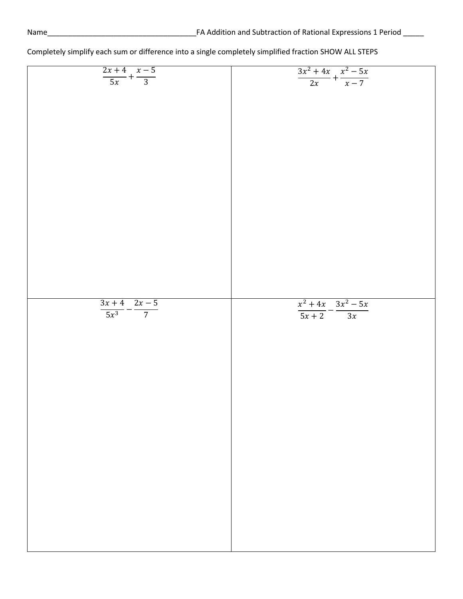| $\frac{2x+4}{5x} + \frac{x-5}{3}$    | $\frac{3x^2+4x}{2x}+\frac{x^2-5x}{x-7}$ |
|--------------------------------------|-----------------------------------------|
|                                      |                                         |
|                                      |                                         |
|                                      |                                         |
|                                      |                                         |
|                                      |                                         |
|                                      |                                         |
|                                      |                                         |
|                                      |                                         |
|                                      |                                         |
|                                      |                                         |
|                                      |                                         |
|                                      |                                         |
|                                      |                                         |
|                                      |                                         |
|                                      |                                         |
|                                      |                                         |
|                                      |                                         |
|                                      |                                         |
|                                      |                                         |
|                                      |                                         |
|                                      |                                         |
|                                      |                                         |
|                                      |                                         |
|                                      |                                         |
|                                      |                                         |
|                                      |                                         |
|                                      |                                         |
|                                      |                                         |
|                                      |                                         |
|                                      |                                         |
|                                      |                                         |
|                                      |                                         |
|                                      |                                         |
|                                      |                                         |
|                                      |                                         |
|                                      |                                         |
|                                      |                                         |
|                                      |                                         |
|                                      |                                         |
|                                      |                                         |
|                                      |                                         |
|                                      |                                         |
|                                      |                                         |
|                                      |                                         |
|                                      |                                         |
|                                      | $x^2 + 4x$ $3x^2 - 5x$                  |
|                                      |                                         |
|                                      |                                         |
|                                      |                                         |
|                                      |                                         |
| $\frac{3x+4}{5x^3} - \frac{2x-5}{7}$ | $\frac{1}{5x+2} - \frac{1}{3x}$         |
|                                      |                                         |
|                                      |                                         |
|                                      |                                         |
|                                      |                                         |
|                                      |                                         |
|                                      |                                         |
|                                      |                                         |
|                                      |                                         |
|                                      |                                         |
|                                      |                                         |
|                                      |                                         |
|                                      |                                         |
|                                      |                                         |
|                                      |                                         |
|                                      |                                         |
|                                      |                                         |
|                                      |                                         |
|                                      |                                         |
|                                      |                                         |
|                                      |                                         |
|                                      |                                         |
|                                      |                                         |
|                                      |                                         |
|                                      |                                         |
|                                      |                                         |
|                                      |                                         |
|                                      |                                         |
|                                      |                                         |
|                                      |                                         |
|                                      |                                         |
|                                      |                                         |
|                                      |                                         |
|                                      |                                         |
|                                      |                                         |
|                                      |                                         |
|                                      |                                         |
|                                      |                                         |
|                                      |                                         |
|                                      |                                         |
|                                      |                                         |
|                                      |                                         |
|                                      |                                         |
|                                      |                                         |
|                                      |                                         |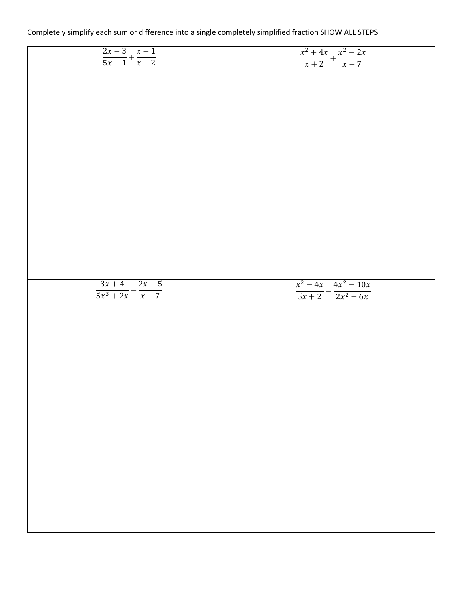| Completely simplify each sum or difference into a single completely simplified fraction SHOW ALL STEPS |  |
|--------------------------------------------------------------------------------------------------------|--|
|--------------------------------------------------------------------------------------------------------|--|

| $\frac{2x+3}{5x-1} + \frac{x-1}{x+2}$ | $\frac{x^2+4x}{x+2} + \frac{x^2-2x}{x-7}$ |
|---------------------------------------|-------------------------------------------|
|                                       |                                           |
|                                       |                                           |
|                                       |                                           |
|                                       |                                           |
|                                       |                                           |
|                                       |                                           |
|                                       |                                           |
|                                       |                                           |
|                                       |                                           |
|                                       |                                           |
|                                       |                                           |
|                                       |                                           |
|                                       |                                           |
|                                       |                                           |
|                                       |                                           |
|                                       |                                           |
|                                       |                                           |
|                                       |                                           |
|                                       |                                           |
|                                       |                                           |
|                                       |                                           |
|                                       |                                           |
|                                       |                                           |
|                                       |                                           |
|                                       |                                           |
|                                       |                                           |
|                                       |                                           |
|                                       |                                           |
|                                       |                                           |
|                                       |                                           |
|                                       |                                           |
|                                       |                                           |
|                                       |                                           |
|                                       |                                           |
|                                       |                                           |
|                                       |                                           |
|                                       |                                           |
|                                       |                                           |
|                                       |                                           |
|                                       |                                           |
| $3x+4$ $2x-5$                         | $x^2 - 4x$ $4x^2 - 10x$                   |
|                                       |                                           |
| $\frac{1}{5x^3+2x}-\frac{1}{x-7}$     | $\frac{1}{5x+2} - \frac{1}{2x^2+6x}$      |
|                                       |                                           |
|                                       |                                           |
|                                       |                                           |
|                                       |                                           |
|                                       |                                           |
|                                       |                                           |
|                                       |                                           |
|                                       |                                           |
|                                       |                                           |
|                                       |                                           |
|                                       |                                           |
|                                       |                                           |
|                                       |                                           |
|                                       |                                           |
|                                       |                                           |
|                                       |                                           |
|                                       |                                           |
|                                       |                                           |
|                                       |                                           |
|                                       |                                           |
|                                       |                                           |
|                                       |                                           |
|                                       |                                           |
|                                       |                                           |
|                                       |                                           |
|                                       |                                           |
|                                       |                                           |
|                                       |                                           |
|                                       |                                           |
|                                       |                                           |
|                                       |                                           |
|                                       |                                           |
|                                       |                                           |
|                                       |                                           |
|                                       |                                           |
|                                       |                                           |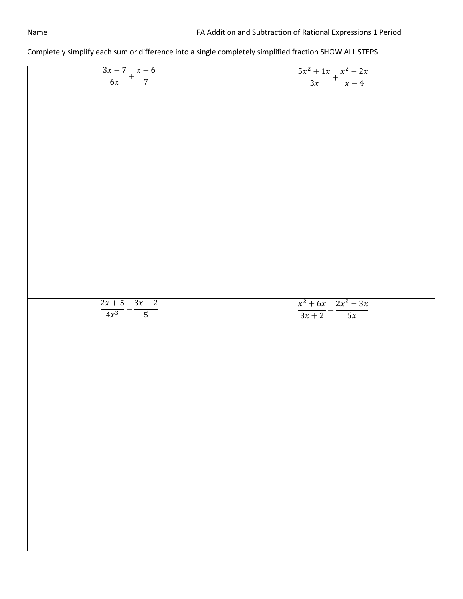| $\frac{3x+7}{6x} + \frac{x-6}{7}$    | $\frac{5x^2+1x}{3x} + \frac{x^2-2x}{x-4}$ |
|--------------------------------------|-------------------------------------------|
|                                      |                                           |
|                                      |                                           |
|                                      |                                           |
|                                      |                                           |
|                                      |                                           |
|                                      |                                           |
|                                      |                                           |
|                                      |                                           |
|                                      |                                           |
|                                      |                                           |
|                                      |                                           |
|                                      |                                           |
|                                      |                                           |
|                                      |                                           |
|                                      |                                           |
|                                      |                                           |
|                                      |                                           |
|                                      |                                           |
|                                      |                                           |
|                                      |                                           |
|                                      |                                           |
|                                      |                                           |
|                                      |                                           |
|                                      |                                           |
|                                      |                                           |
|                                      |                                           |
|                                      |                                           |
|                                      |                                           |
|                                      |                                           |
|                                      |                                           |
|                                      |                                           |
|                                      |                                           |
|                                      |                                           |
|                                      |                                           |
|                                      |                                           |
|                                      |                                           |
|                                      |                                           |
|                                      |                                           |
|                                      |                                           |
|                                      |                                           |
|                                      |                                           |
|                                      |                                           |
|                                      |                                           |
|                                      |                                           |
|                                      |                                           |
|                                      |                                           |
|                                      |                                           |
|                                      |                                           |
|                                      |                                           |
|                                      |                                           |
|                                      |                                           |
|                                      |                                           |
|                                      |                                           |
|                                      |                                           |
|                                      |                                           |
|                                      | $x^2 + 6x - 2x^2 - 3x$                    |
|                                      |                                           |
|                                      |                                           |
| $\frac{2x+5}{4x^3} - \frac{3x-2}{5}$ | $\frac{1}{3x+2} - \frac{1}{5x}$           |
|                                      |                                           |
|                                      |                                           |
|                                      |                                           |
|                                      |                                           |
|                                      |                                           |
|                                      |                                           |
|                                      |                                           |
|                                      |                                           |
|                                      |                                           |
|                                      |                                           |
|                                      |                                           |
|                                      |                                           |
|                                      |                                           |
|                                      |                                           |
|                                      |                                           |
|                                      |                                           |
|                                      |                                           |
|                                      |                                           |
|                                      |                                           |
|                                      |                                           |
|                                      |                                           |
|                                      |                                           |
|                                      |                                           |
|                                      |                                           |
|                                      |                                           |
|                                      |                                           |
|                                      |                                           |
|                                      |                                           |
|                                      |                                           |
|                                      |                                           |
|                                      |                                           |
|                                      |                                           |
|                                      |                                           |
|                                      |                                           |
|                                      |                                           |
|                                      |                                           |
|                                      |                                           |
|                                      |                                           |
|                                      |                                           |
|                                      |                                           |
|                                      |                                           |
|                                      |                                           |
|                                      |                                           |
|                                      |                                           |
|                                      |                                           |
|                                      |                                           |
|                                      |                                           |
|                                      |                                           |
|                                      |                                           |
|                                      |                                           |
|                                      |                                           |
|                                      |                                           |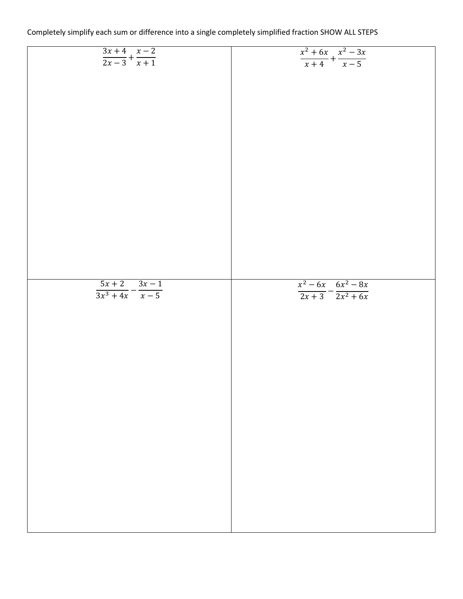| Completely simplify each sum or difference into a single completely simplified fraction SHOW ALL STEPS |  |  |  |  |  |  |
|--------------------------------------------------------------------------------------------------------|--|--|--|--|--|--|
|--------------------------------------------------------------------------------------------------------|--|--|--|--|--|--|

| $\frac{3x+4}{2x-3} + \frac{x-2}{x+1}$ | $\frac{x^2 + 6x}{x + 4} + \frac{x^2 - 3x}{x - 5}$ |
|---------------------------------------|---------------------------------------------------|
|                                       |                                                   |
|                                       |                                                   |
|                                       |                                                   |
|                                       |                                                   |
|                                       |                                                   |
|                                       |                                                   |
|                                       |                                                   |
|                                       |                                                   |
|                                       |                                                   |
|                                       |                                                   |
|                                       |                                                   |
|                                       |                                                   |
|                                       |                                                   |
|                                       |                                                   |
|                                       |                                                   |
|                                       |                                                   |
|                                       |                                                   |
|                                       |                                                   |
|                                       |                                                   |
|                                       |                                                   |
|                                       |                                                   |
|                                       |                                                   |
|                                       |                                                   |
|                                       |                                                   |
|                                       |                                                   |
|                                       |                                                   |
|                                       |                                                   |
|                                       |                                                   |
|                                       |                                                   |
|                                       |                                                   |
|                                       |                                                   |
|                                       |                                                   |
|                                       |                                                   |
|                                       |                                                   |
|                                       |                                                   |
|                                       |                                                   |
|                                       |                                                   |
|                                       |                                                   |
|                                       |                                                   |
|                                       |                                                   |
|                                       |                                                   |
|                                       |                                                   |
|                                       |                                                   |
|                                       |                                                   |
|                                       |                                                   |
|                                       |                                                   |
|                                       |                                                   |
|                                       |                                                   |
|                                       |                                                   |
|                                       |                                                   |
|                                       |                                                   |
|                                       |                                                   |
|                                       | $x^2 - 6x - 6x^2 - 8x$                            |
|                                       |                                                   |
| $rac{5x+2}{3x^3+4x}-\frac{3x-1}{x-5}$ | $\frac{1}{2x+3} - \frac{1}{2x^2+6x}$              |
|                                       |                                                   |
|                                       |                                                   |
|                                       |                                                   |
|                                       |                                                   |
|                                       |                                                   |
|                                       |                                                   |
|                                       |                                                   |
|                                       |                                                   |
|                                       |                                                   |
|                                       |                                                   |
|                                       |                                                   |
|                                       |                                                   |
|                                       |                                                   |
|                                       |                                                   |
|                                       |                                                   |
|                                       |                                                   |
|                                       |                                                   |
|                                       |                                                   |
|                                       |                                                   |
|                                       |                                                   |
|                                       |                                                   |
|                                       |                                                   |
|                                       |                                                   |
|                                       |                                                   |
|                                       |                                                   |
|                                       |                                                   |
|                                       |                                                   |
|                                       |                                                   |
|                                       |                                                   |
|                                       |                                                   |
|                                       |                                                   |
|                                       |                                                   |
|                                       |                                                   |
|                                       |                                                   |
|                                       |                                                   |
|                                       |                                                   |
|                                       |                                                   |
|                                       |                                                   |
|                                       |                                                   |
|                                       |                                                   |
|                                       |                                                   |
|                                       |                                                   |
|                                       |                                                   |
|                                       |                                                   |
|                                       |                                                   |
|                                       |                                                   |
|                                       |                                                   |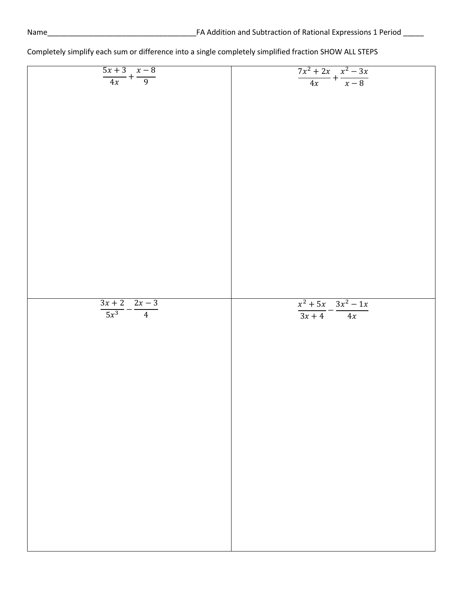| $\frac{5x+3}{4x} + \frac{x-8}{9}$    | $\frac{7x^2+2x}{4x} + \frac{x^2-3x}{x-8}$ |
|--------------------------------------|-------------------------------------------|
|                                      |                                           |
|                                      |                                           |
|                                      |                                           |
|                                      |                                           |
|                                      |                                           |
|                                      |                                           |
|                                      |                                           |
|                                      |                                           |
|                                      |                                           |
|                                      |                                           |
|                                      |                                           |
|                                      |                                           |
|                                      |                                           |
|                                      |                                           |
|                                      |                                           |
|                                      |                                           |
|                                      |                                           |
|                                      |                                           |
|                                      |                                           |
|                                      |                                           |
|                                      |                                           |
|                                      |                                           |
|                                      |                                           |
|                                      |                                           |
|                                      |                                           |
|                                      |                                           |
|                                      |                                           |
|                                      |                                           |
|                                      |                                           |
|                                      |                                           |
|                                      |                                           |
|                                      |                                           |
|                                      |                                           |
|                                      |                                           |
|                                      |                                           |
|                                      |                                           |
|                                      |                                           |
|                                      |                                           |
|                                      |                                           |
|                                      |                                           |
|                                      |                                           |
|                                      |                                           |
|                                      |                                           |
|                                      |                                           |
|                                      |                                           |
|                                      |                                           |
|                                      |                                           |
|                                      |                                           |
|                                      |                                           |
|                                      |                                           |
|                                      |                                           |
|                                      |                                           |
|                                      |                                           |
|                                      |                                           |
|                                      | $x^2 + 5x$ $3x^2 - 1x$                    |
|                                      |                                           |
| $\frac{3x+2}{5x^3} - \frac{2x-3}{4}$ | $\frac{1}{3x+4} - \frac{1}{4x}$           |
|                                      |                                           |
|                                      |                                           |
|                                      |                                           |
|                                      |                                           |
|                                      |                                           |
|                                      |                                           |
|                                      |                                           |
|                                      |                                           |
|                                      |                                           |
|                                      |                                           |
|                                      |                                           |
|                                      |                                           |
|                                      |                                           |
|                                      |                                           |
|                                      |                                           |
|                                      |                                           |
|                                      |                                           |
|                                      |                                           |
|                                      |                                           |
|                                      |                                           |
|                                      |                                           |
|                                      |                                           |
|                                      |                                           |
|                                      |                                           |
|                                      |                                           |
|                                      |                                           |
|                                      |                                           |
|                                      |                                           |
|                                      |                                           |
|                                      |                                           |
|                                      |                                           |
|                                      |                                           |
|                                      |                                           |
|                                      |                                           |
|                                      |                                           |
|                                      |                                           |
|                                      |                                           |
|                                      |                                           |
|                                      |                                           |
|                                      |                                           |
|                                      |                                           |
|                                      |                                           |
|                                      |                                           |
|                                      |                                           |
|                                      |                                           |
|                                      |                                           |
|                                      |                                           |
|                                      |                                           |
|                                      |                                           |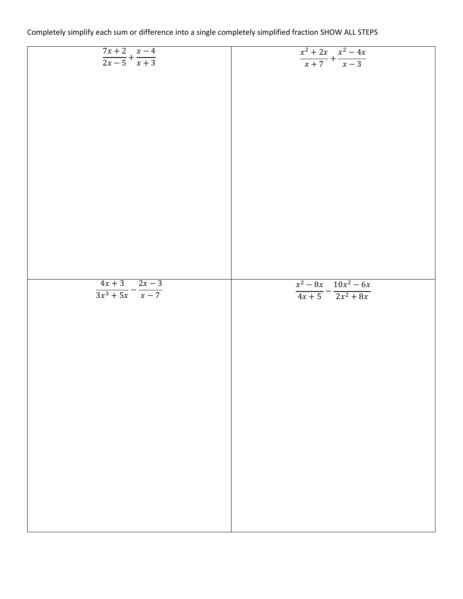| $\frac{7x+2}{2x-5} + \frac{x-4}{x+3}$   | $\frac{x^2+2x}{x+7} + \frac{x^2-4x}{x-3}$ |
|-----------------------------------------|-------------------------------------------|
|                                         |                                           |
|                                         |                                           |
|                                         |                                           |
|                                         |                                           |
|                                         |                                           |
|                                         |                                           |
|                                         |                                           |
|                                         |                                           |
|                                         |                                           |
|                                         |                                           |
|                                         |                                           |
|                                         |                                           |
|                                         |                                           |
|                                         |                                           |
|                                         |                                           |
|                                         |                                           |
|                                         |                                           |
|                                         |                                           |
|                                         |                                           |
|                                         |                                           |
|                                         |                                           |
|                                         |                                           |
|                                         |                                           |
|                                         |                                           |
|                                         |                                           |
|                                         |                                           |
|                                         |                                           |
|                                         |                                           |
|                                         |                                           |
|                                         |                                           |
|                                         |                                           |
|                                         |                                           |
|                                         |                                           |
|                                         |                                           |
|                                         |                                           |
|                                         |                                           |
|                                         |                                           |
|                                         |                                           |
|                                         |                                           |
|                                         |                                           |
|                                         |                                           |
|                                         |                                           |
|                                         |                                           |
|                                         |                                           |
|                                         |                                           |
|                                         |                                           |
|                                         |                                           |
|                                         |                                           |
|                                         |                                           |
|                                         |                                           |
|                                         |                                           |
|                                         |                                           |
|                                         |                                           |
|                                         |                                           |
|                                         |                                           |
|                                         | $x^2 - 8x$ $10x^2 - 6x$                   |
|                                         |                                           |
|                                         |                                           |
| $\frac{4x+3}{3x^3+5x}-\frac{2x-3}{x-7}$ | $\frac{4x+5}{4x+5} - \frac{2x^2+8x}{x}$   |
|                                         |                                           |
|                                         |                                           |
|                                         |                                           |
|                                         |                                           |
|                                         |                                           |
|                                         |                                           |
|                                         |                                           |
|                                         |                                           |
|                                         |                                           |
|                                         |                                           |
|                                         |                                           |
|                                         |                                           |
|                                         |                                           |
|                                         |                                           |
|                                         |                                           |
|                                         |                                           |
|                                         |                                           |
|                                         |                                           |
|                                         |                                           |
|                                         |                                           |
|                                         |                                           |
|                                         |                                           |
|                                         |                                           |
|                                         |                                           |
|                                         |                                           |
|                                         |                                           |
|                                         |                                           |
|                                         |                                           |
|                                         |                                           |
|                                         |                                           |
|                                         |                                           |
|                                         |                                           |
|                                         |                                           |
|                                         |                                           |
|                                         |                                           |
|                                         |                                           |
|                                         |                                           |
|                                         |                                           |
|                                         |                                           |
|                                         |                                           |
|                                         |                                           |
|                                         |                                           |
|                                         |                                           |
|                                         |                                           |
|                                         |                                           |
|                                         |                                           |
|                                         |                                           |
|                                         |                                           |
|                                         |                                           |
|                                         |                                           |
|                                         |                                           |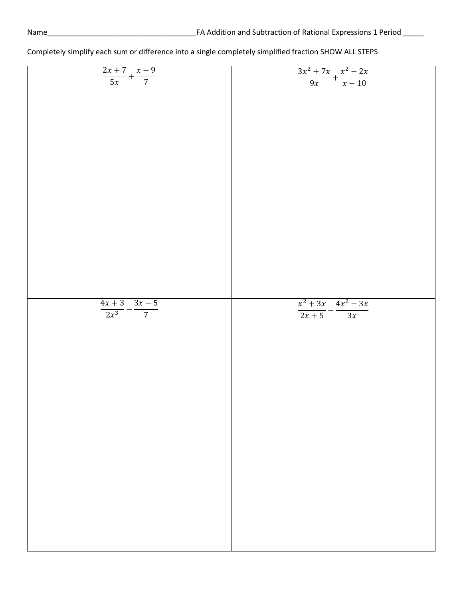| $\frac{2x+7}{5x} + \frac{x-9}{7}$    | $\frac{3x^2+7x}{9x}+\frac{x^2-2x}{x-10}$   |
|--------------------------------------|--------------------------------------------|
|                                      |                                            |
|                                      |                                            |
|                                      |                                            |
|                                      |                                            |
|                                      |                                            |
|                                      |                                            |
|                                      |                                            |
|                                      |                                            |
|                                      |                                            |
|                                      |                                            |
|                                      |                                            |
|                                      |                                            |
|                                      |                                            |
|                                      |                                            |
|                                      |                                            |
|                                      |                                            |
|                                      |                                            |
|                                      |                                            |
|                                      |                                            |
|                                      |                                            |
|                                      |                                            |
|                                      |                                            |
|                                      |                                            |
|                                      |                                            |
|                                      |                                            |
|                                      |                                            |
|                                      |                                            |
|                                      |                                            |
|                                      |                                            |
|                                      |                                            |
|                                      |                                            |
|                                      |                                            |
|                                      |                                            |
|                                      |                                            |
|                                      |                                            |
|                                      |                                            |
|                                      |                                            |
|                                      |                                            |
|                                      |                                            |
|                                      |                                            |
|                                      |                                            |
|                                      |                                            |
|                                      |                                            |
|                                      |                                            |
|                                      |                                            |
|                                      |                                            |
|                                      |                                            |
|                                      |                                            |
|                                      |                                            |
| $\frac{4x+3}{2x^3} - \frac{3x-5}{7}$ | $\frac{x^2+3x}{2x+5} - \frac{4x^2-3x}{3x}$ |
|                                      |                                            |
|                                      |                                            |
|                                      |                                            |
|                                      |                                            |
|                                      |                                            |
|                                      |                                            |
|                                      |                                            |
|                                      |                                            |
|                                      |                                            |
|                                      |                                            |
|                                      |                                            |
|                                      |                                            |
|                                      |                                            |
|                                      |                                            |
|                                      |                                            |
|                                      |                                            |
|                                      |                                            |
|                                      |                                            |
|                                      |                                            |
|                                      |                                            |
|                                      |                                            |
|                                      |                                            |
|                                      |                                            |
|                                      |                                            |
|                                      |                                            |
|                                      |                                            |
|                                      |                                            |
|                                      |                                            |
|                                      |                                            |
|                                      |                                            |
|                                      |                                            |
|                                      |                                            |
|                                      |                                            |
|                                      |                                            |
|                                      |                                            |
|                                      |                                            |
|                                      |                                            |
|                                      |                                            |
|                                      |                                            |
|                                      |                                            |
|                                      |                                            |
|                                      |                                            |
|                                      |                                            |